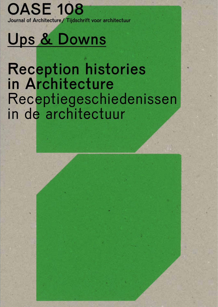### **OASE 108** Journal of Architecture/ Tijdschrift voor architectuur

# Ups & Downs

# Reception histories in Architecture Receptiegeschiedenissen in de architectuur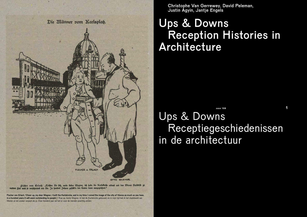

fifcher von Erlad: "Troften Sie fich, mein lieber Wagner, ich habe die Narisfirche erbaut und das Wiener Stadtbild gu meiner Zeit auch fo verschandelt wie Sie. In hundert Jahren gefällt's den Ceuten dann ausgezeichnet."

Fischer von Erlach: 'Cheer up, my dear Wagner, I built the Karlskirche, and in my time I ruined the image of the city of Vienna as much as you have. In a hundred years it will seem outstanding to people'/ 'Kop op, beste Wagner, ik heb de Karlskirche gebouwd, en in mijn tijd heb ik het stadsbeeld van Wenen al net zozeer verpest als jij. Over honderd jaar zal het er voor de mensen prachtig uitzien.'

Christophe Van Gerrewey, David Peleman, Justin Agyin, Jantje Engels

# Ups & Downs Reception Histories in **Architecture**

## Ups & Downs Receptiegeschiedenissen in de architectuur *oase 108* **1 oase 108 1 1 1 oase 108**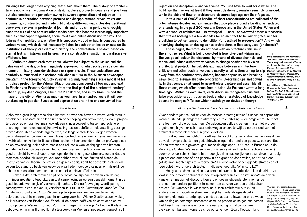Buildings last longer than anything that's said about them. The history of architecture is not only an accumulation of designs, places, projects, oeuvres and positions, but also consists of a pendulum swing between appreciation and rejection – a continuous alternation between promise and disappointment, driven by various arguments, constructed and made public along different roads. Besides traditional overviews, reviews in professional journals and criticism in periodicals, roughly since the turn of the century other media have also become increasingly important, such as newspaper magazines, social media and online discussion forums. The judgment of architecture, whether it is supposedly good or bad, is constructed by various voices, which do not necessarily listen to each other. Inside or outside the institutions of theory, criticism and history, the conversation is seldom based on eternal truths: mistakes and failures have a constructive function, and a discursive efficiency, too.

 Without a doubt, architecture will always be subject to the issues and the delusions of the day, or less negatively expressed: to what societies at a certain moment in history consider desirable or reprehensible. These undulations are pointedly summarised in a cartoon published in 1910 in the Austrian newspaper *Die Zeit*. In the foreground, Otto Wagner is glumly watching a scale model of his criticised project for the Wiener Stadtmuseum, considered all too modern, next to Fischer von Erlach's Karlskirche from the first part of the nineteenth century.1 'Cheer up, my dear Wagner, I built the Karlskirche, and in my time I ruined the image of the city of Vienna as much as you have. In a hundred years it will seem outstanding to people.' Success and appreciation are in the end converted into

Gebouwen gaan langer mee dan alles wat er over hen beweerd wordt. Architectuurgeschiedenis bestaat niet alleen uit een opeenhoping van ontwerpen, plekken, projecten, oeuvres en posities, maar ook uit een slingerbeweging tussen appreciatie en afkeuring – een onophoudelijke afwisseling tussen belofte en teleurstelling, voortgedreven door uiteenlopende argumenten, die langs verschillende wegen worden geconstrueerd en publiek gemaakt. Naast de traditionele overzichtswerken, recensies in vakbladen en kritiek in tijdschriften, spelen in toenemende mate, en grofweg sinds de eeuwwisseling, ook andere media een rol, zoals weekendbijlagen van kranten, sociale media en discussiefora. Het oordeel over architectuur, over wat verondersteld goed of slecht is, wordt door uiteenlopende stemmen geconstrueerd, zonder dat die stemmen noodzakelijkerwijze veel oor hebben voor elkaar. Buiten of binnen de instituties van de theorie, de kritiek en geschiedenis, komt het gesprek in elk geval zelden tot stand op basis van eeuwige waarheden: ook vergissingen en mislukkingen hebben een constructieve functie, en een discursieve efficiëntie.

Zeker is dat architectuur altijd onderhevig zal zijn aan de waan van de dag, of minder negatief uitgedrukt: aan wat samenlevingen op een bepaald moment in de geschiedenis wenselijk of verwerpelijk achten. Die golfbeweging wordt puntig samengevat in een karikatuur, verschenen in 1910 in de Oostenrijkse krant *Die Zeit*. Op de voorgrond staat Otto Wagner sip te kijken naar een maquette van zijn bekritiseerde, al te modern geachte ontwerp voor het Wiener Stadtmuseum, vlakbij de Karlskirche van Fischer von Erlach uit de eerste helft van de achttiende eeuw.1 'Kop op, beste Wagner,' zo zegt Von Erlach tegen zijn collega, 'ik heb de Karlskirche gebouwd, en in mijn tijd heb ik het stadsbeeld van Wenen al net zozeer verpest als jij.

rejection and deception – and vice versa. You just have to wait for a while. The buildings themselves, at least if they aren't destroyed, remain seemingly unmoved, while the ebb and flow of architecture discourse laps against their façades.

 In this issue of *OASE*, a handful of short reconstructions are collected of the often intense debates and exchanges that took place around a building, an architect or a tendency, in the past 200 years, in Europe and in the United States. When and why is a work of architecture – in retrospect – under- or overrated? How is it possible that it takes nothing but a few decades for an architect to fall out of grace, and for a building to get sentenced to demolition (or destined to preservation)? And which underlying strategies or ideologies has architecture, in that case, used (or abused)?

 These pages, therefore, do not deal with architecture criticism in the strict sense. What is being depicted is how divergent visions and the vox populi colour the discourse, by means of diverse channels and media, and induce authoritative voices to change position vis à vis an architectural project. The valuable exchange between architecture criticism and other societal voices is exactly what is threatening to slip away from the contemporary debate, because topicality and breaking news tend to assume absolute proportions. Describing ups and downs is, in that sense, an attempt to nevertheless capture and assemble all those voices, which often come from outside. As Foucault wrote a long time ago: 'Within its own limits, each discipline recognises true and false propositions; but it pushes back a whole teratology of knowledge beyond its margins.'2 To see which teratology (or deviation theory)

 1 For a short history, see Peter Haiko, 'The Franz Josef-Stadtmuseum: The Attempt to Implement a Theory of Modern Architecture', in: Harry Francis Mallgrave (ed.), *Otto Wagner: Reflections on the Raiment of Modernity* (Santa Monica, CA: Getty Center for the History of Art and the Humanities, 1993), 53-83. 2

Michel Foucault, 'The Order of Discourse', in: Robert Young (ed.), *Untying the Text: A Post-Structuralist Reader* (Boston, London and Henley: Routledge & Kegan Paul, 1981 [1971]), 60.

**Ups & Downs 2 Christophe Van Gerrewey, David Peleman, Justin Agyin, Jantje Engels 3**

Over honderd jaar zal het er voor de mensen prachtig uitzien.' Succes en appreciatie worden uiteindelijk omgezet in afwijzing en teleurstelling – en omgekeerd. Je moet er alleen een tijdje op wachten. De gebouwen zelf, als ze tenminste niet worden afgebroken, blijven er schijnbaar onbewogen onder, terwijl de eb en vloed van het architectuurgesprek tegen hun gevels klotsen.

In dit nummer van *OASE* wordt een handvol korte reconstructies verzameld van de vaak hevige debatten en gedachtewisselingen die rond een gebouw, een architect of een stroming zijn gevoerd, gedurende de afgelopen 200 jaar, in Europa en in de Verenigde Staten. Wanneer en waarom is een stuk architectuur (achteraf gezien) over- of onderschat? Hoe is het mogelijk dat er nauwelijks een paar decennia nodig zijn om een architect of een gebouw uit de gratie te doen vallen, en tot de sloop (of de monumentenlijst) te veroordelen? En voor welke onderliggende strategieën of ideologieën wordt de architectuur in dit geval gebruikt (of misbruikt)?

Het gaat op deze bladzijden daarom niet over architectuurkritiek in de strikte zin. Wat in beeld wordt gebracht is hoe afwijkende visies en de *vox populi* via diverse kanalen en media het discours kleuren, en gezaghebbende stemmen ertoe brengen een andere positie in te nemen ten aanzien van een architectuurproject. De waardevolle wisselwerking tussen architectuurkritiek en andere maatschappelijke stemmen dreigt het hedendaagse debat in toenemende mate te ontglippen, omdat de actualiteitswaarde of de waan van de dag op sommige momenten absolute proporties neigen aan nemen. Het beschrijven van ups en downs is een poging om al de stemmen die vaak van buitenaf komen, alsnog op te vangen. Zoals Foucault lang 1

Voor een korte geschiedenis, zie: Peter Haiko, 'The Franz Josef-Stadtmuseum: The Attempt to Implement a Theory of Modern Architecture', in: Harry Francis Mallgrave (red.), *Otto Wagner: Reflections on the Raiment of Modernity* (Santa Monica, CA: Getty Center for the History of Art and the Humanities, 1993), 53-83.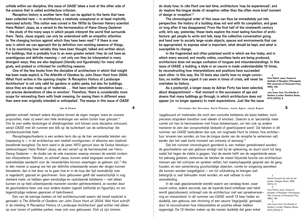unfolds within our discipline, this issue of *OASE* takes a look at the other side of the science that is called architecture criticism.

 Reception history is another term that can be applied to the texts that have been collected here – in architecture, a relatively unexplored or at least implicitly exercised activity. This notion was coined in the 1970s by German literary scientist Hans Robert Jauss, as a variant to the hermeneutics of Hans-Georg Gadamer – the study of the many ways in which people interpret the world that surrounds them. Texts, Jauss argued, can only be understood with an empathic attention to 'the changing horizon against which they have been read'.3 If there is one way in which we can approach the by definition non-existing essence of things, it is by examining how variably they have been thought, talked and written about. For buildings, that is probably true to an even greater extent: they do not have an unambiguous and definite meaning – not only can they be interpreted in many divergent ways, they are also deployed (literally and figuratively) for many other goals, and praised or criticised for conflicting reasons.

 One of the few books from the discipline of architecture in which that insight has been made explicit, is *The Afterlife of Gardens* by John Dixon Hunt from 2004. What Hunt writes in the opening chapter 'A Reception History of Landscape Architecture' is not only valid for gardens or public parks, but also for buildings, since they are also made up of 'materials . . . that have neither denotative basis . . . nor precise declarations of idea or emotion'. Therefore, 'there is considerably more scope for reinvesting them with fresh meaning, for seeing them in different ways than were ever originally intended or anticipated'. The essays in this issue of *OASE*

### **Ups & Downs 4 Christophe Van Gerrewey, David Peleman, Justin Agyin, Jantje Engels 5**

geleden schreef, herkent iedere discipline binnen de eigen marges 'ware en onware proposities, maar zij weert een hele teratologie van weten buiten haar grenzen'.2 Om te zien welke teratologie of afwijkingenleer zich binnen onze discipline ontvouwt, werpt *OASE* met dit nummer een blik op 'de buitenkant van de wetenschap' die architectuurkritiek heet.

Receptiegeschiedenis is een andere term die op de hier verzamelde teksten van toepassing is – in de architectuur een relatief onontgonnen, of alleszins een impliciet beoefende bezigheid. De term werd in de jaren 1970 gemunt door de Duitse literatuurwetenschapper Hans Robert Jauss, als een variant op de hermeneutiek van Hans-Georg Gadamer – de studie van de vele manieren waarop mensen de wereld rondom hen interpreteren. Teksten, zo schreef Jauss, kunnen enkel begrepen worden met nadrukkelijke aandacht voor de 'veranderlijke horizon waartegen ze gelezen zijn'.3 Als er één manier is waarop we het per definitie onbestaande wezen der dingen kunnen benaderen, dan is het door na te gaan hoe er in de loop der tijd veranderlijk over is nagedacht, gepraat en geschreven. Voor gebouwen geldt dat waarschijnlijk in nog sterkere mate: ze hebben geen eenduidige en vaststaande betekenis – niet alleen kunnen ze op heel uiteenlopende manieren worden geïnterpreteerd, ze worden door de geschiedenis heen ook voor andere doelen ingezet (letterlijk en figuurlijk), en om tegenstrijdige redenen geprezen of bekritiseerd.

Een van de weinige boeken uit het architectuurveld waarin dat besef expliciet is gemaakt, is *The Afterlife of Gardens* van John Dixon Hunt uit 2004. Wat Hunt schrijft in de inleiding 'A Reception History of Landscape Architecture' gaat echter niet alleen op voor tuinen of publieke parken, maar ook voor gebouwen. Ook zij zijn immers

do study how, to cite Hunt one last time, architecture 'may be experienced', and do 'explore the *longue durée* of reception rather than the often more brief moment of design or inception'.4

 The chronological order of this issue can thus be immediately put into perspective: the history of a building does not end with its completion, and goes on long after it has disappeared. From the first half of the nineteenth century until, let's say, yesterday, these texts explore the most lasting function of architecture: get people to write and talk, keep the collective conversation going, and hand over to society large-scale objects, spaces and environments that can be appropriated, to express what is important, what should be kept, and what is susceptible to change.

 In the fragmented and often polarised world in which we live today, and in which every second, and mostly online, countless texts are being produced, architecture does not escape confusion of tongues and misunderstandings. In this issue of *OASE*, a building, a style or an oeuvre is made understandable 13 times, by reconstructing how interpretations and positions have succeeded each other. In this way, the 13 texts also clarify how no single conviction, no matter how urgent it can seem in times of crisis, will never be overtaken by history. 3

Hans Robert Jauss, *Toward an Aesthetic of Reception* (Minneapolis, MN: University of Minnesota Press, 1982), 139. 4

John Dixon Hunt, *The Afterlife of Gardens* (London: Reaktion Books,

2013 [2004]), 9.

 As a postscript, a longer essay by Adrian Forty has been selected, about disappointment – that moment in the succession of ups and downs that many buildings go through, in which architecture does not appear (or no longer appears) to meet expectations. Just like the issue

'opgebouwd uit materialen die noch een concrete betekenis als basis hebben, noch precieze uitspraken bevatten over ideeën of emoties'. Daarom is er 'aanzienlijk meer ruimte om hen te herinvesteren met frisse betekenissen, om hen ook op andere manieren te zien dan oorspronkelijk bedoeld of geanticipeerd werd'. De teksten in dit nummer van *OASE* bestuderen dan ook, om nogmaals Hunt te citeren, hoe architectuur 'ervaren kan worden, en hoe de *longue durée* van de receptie te verkennen valt, eerder dan het vaak korte moment van ontwerp of aanvang'.4

Dat het nummer chronologisch geordend is, kan meteen gerelativeerd worden: de geschiedenis van een gebouw eindigt niet bij de oplevering, en duurt voort tot lang nadat het tegen de vlakte is gegaan. Van de eerste helft van de negentiende eeuw tot pakweg gisteren, verkennen de teksten de meest blijvende functie van architectuur: mensen aan het schrijven en spreken zetten, het maatschappelijk gesprek aan de gang houden, en een samenleving grootschalige objecten, ruimte en omgeving aanreiken die kunnen worden toegeëigend – om tot uitdrukking te brengen wat belangrijk is, wat behouden moet worden, en wat vatbaar is voor veranderding. 2

In de vaak gepolariseerde wereld waarin we vandaag leven, waar vooral online, iedere seconde, aan de lopende band ontelbaar veel tekst wordt geproduceerd, ontsnapt ook de architectuur niet aan spraakverwarring en misverstand. In dit nummer van *OASE* wordt 13 keer helder en duidelijk, een gebouw, een stroming of een oeuvre 'begrijpelijk' gemaakt, door te reconstrueren hoe interpretaties en posities elkaar hebben opgevolgd. De 13 teksten maken op die manier duidelijk dat geen enkel

Michel Foucault, *De orde van het spreken* (Meppel: Boom, 1996 [1971]), 51. 3 Hans Robert Jauss, *Toward an Aesthetic of Reception* (Minneapolis, MN: University of Minnesota Press, 1982), 139. 4 John Dixon Hunt, *The Afterlife of Gardens* (Londen: Reaktion Books, 2013 [2004]), 9.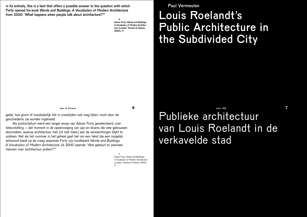in its entirety, this is a text that offers a possible answer to the question with which Forty opened his book *Words and Buildings: A Vocabulary of Modern Architecture* from 2000: 'What happens when people talk about architecture?'5

> 5 Adrian Forty, *Words and Buildings: A Vocabulary of Modern Architecture* (London: Thames & Hudson, 2000), 11.

Paul Vermeulen

# Louis Roelandt's Public Architecture in the Subdivided City

gelijk, hoe groot of noodzakelijk het in crisistijden ook mag lijken, nooit door de geschiedenis zal worden ingehaald.

Als postscriptum werd een langer essay van Adrian Forty geselecteerd, over teleurstelling – dat moment in de opeenvolging van ups en downs die vele gebouwen doormaken, waarop architectuur niet (of niet meer) aan de verwachtingen blijkt te voldoen. Net als het nummer in het geheel gaat het om een tekst die een mogelijk antwoord biedt op de vraag waarmee Forty zijn hoofdwerk *Words and Buildings. A Vocabulary of Modern Architecture* uit 2000 opende: 'Wat gebeurt er wanneer mensen over architectuur praten?'5

> 5 Adrian Forty, *Words and Buildings: A Vocabulary of Modern Architecture* (Londen: Thames & Hudson, 2000), 11.

Publieke architectuur van Louis Roelandt in de verkavelde stad **Ups & Downs 6 oase 108 7**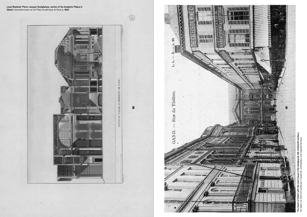



The Opera of Ghent with the court house in the background, late nineteenth century/ **background, late nineteenth century/**<br>ittiepaleis, eind negentiende eeuw. De Opera van Gent met achteraan in beeld het Justitiepaleis, eind negentiende eeuw. et Justitiepa in the l £ The Opera of Ghent with<br>De Opera van Gent met ac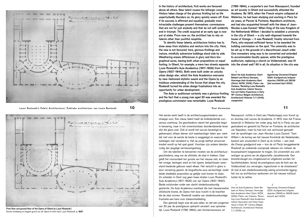

**Louis Roelandt's Public Architecture/ Publieke architectuur van Louis Roelandt 10 Paul Vermeulen 11**



First floor and ground floor of the Opera of Ghent by Louis Roelandt/ Eerste verdieping en begane grond van de Opera te Gent door Louis Roelandt, c. 1837.

In the history of architecture, first works are favoured above all others. New talent rouses the lethargic consensus. History takes charge of the glorious firstling but as life unperturbedly thunders on, its glory quickly wears off. Even if its success is affirmed and equalled, gradually more intractable challenges present themselves: commissions that are not for just anybody and that do not self-evidently end in triumph. The credit acquired at an early age is now put at stake. From now on, the architect has to rely on talents other than youthful neophilia.

 To identify these talents, architecture history has to draw away from stylistics and venture into the city. Here, the new is not favoured; here, glorious firstlings and mature, mindfully subversive buildings stand side by side. Weathering erases differences in glory and blurs biographical auras, leaving both urban propositions on equal footing. In Ghent, for example, a mere two streets separate Louis Roelandt's Aula Academica (1817-1826) from his Opera (1837-1840). Both were built under an unlucky urban design star, which the Aula Academica overcame by new-fashioned stylistic swank and the Opera by an insidious understanding of the forces that shape the city. Roelandt turned his urban design frustrations into an opportunity for urban development.

 The Aula or auditorium certainly was a glorious firstling and the fact that a young man aged 30 was awarded the prestigious commission was remarkable. Louis Roelandt

Het eerste werk heeft in de architectuurgeschiedenis een streepje voor. Een nieuw talent haalt de knikkebollende consensus overhoop. De geschiedenis neemt het glansrijke begin in bewaring, maar in het onverstoorbaar doordenderende leven slijt die glans snel. Ook al wordt het succes bevestigd en geëvenaard, stilaan dienen zich weerbarstiger taken aan: werk dat niet voor de eerste de beste is weggelegd en waarvan het welslagen niet verzekerd is. Het op jonge leeftijd verworven krediet wordt op het spel gezet. Voortaan zijn andere talenten nodig dan jeugdige vernieuwingsdrang.

Om die talenten te benoemen moeten we de architectuurgeschiedenis, weg van de stilistiek, de stad in trekken. Daar geldt het vooroordeel ten gunste van het nieuwe niet, en staan het vroege, bevlogen werk en het rijpere, bedachtzaam weerstand biedende gebouw naast elkaar. Het verschil in glans is door verwering gewist, de biografische aura vervluchtigd, zodat beide stedelijke proposities op gelijke voet komen te staan. Zo scheiden in Gent nog geen twee straten Louis Roelandt's Aula Academica (1817-1826) van zijn Opera (1837-1840). Beide ontstonden onder een slecht stedenbouwkundig gesternte. De Aula Academica overklast die met nieuwerwetse stilistische branie, de Opera met sluw inzicht in de krachten die de stad vormen. Roelandt maakte van stedenbouwkundige frustratie een kans voor stadsontwikkeling.

Een glansrijk begin was de aula zeker, en dat een jongeman van 30 jaar de prestigieuze opdracht verwierf, was opmerkelijk. Louis Roelandt (1786-1864), een timmermanszoon uit

(1786-1864), a carpenter's son from Nieuwpoort, founded an art society in Ghent and successfully attended the Academy. By 1815, when the French empire collapsed at Waterloo, he had been studying and working in Paris for six years, at Percier & Fontaine, Napoléon's architects, and had also acquainted himself with the ideas of Jean-Nicolas-Louis Durand.1 When King of the new Kingdom of the Netherlands Willem I decided to establish a university in the city of Ghent – a city well-disposed towards the house of Orange – it was Roelandt, freshly returned from Paris, who enjoyed sufficient favour to be awarded the building commission on the spot. The university was to be set up in the grounds of a discontinued Jesuit order. One monastery wing was to be converted and extended to accommodate faculty spaces, while the prestigious auditorium, replacing a church on Voldersstraat, was fit into the street wall.2 All in all, its situation in the city was

 $\blacksquare$ About the Aula Academica: Geert Bekaert and Ronny Demeyer, *Hommage Aula Academica Gent* (Ghent: WZW, 2006); Pieter-Jan Cierkens, 'Revisiting Louis Roelandt's Aula Academica: Interior Decoration and Visitor Experience in Early 19th-Century Belgian Architecture'. *Architectural Histories* 7/1 (2019), unpaginated.

Agentschap Onroerend Erfgoed 2020: id.erfgoed.net/erfgoedobjecten/26026 and 26028 (last accessed April 2020).

 $\overline{2}$ 

Nieuwpoort, richtte in Gent een Maatschappij voor Kunst op en doorliep met succes de Academie. In 1815, toen het Franse keizerrijk in Waterloo ten onder ging, had hij in Parijs zes jaar gestudeerd en gewerkt bij Percier en Fontaine, de architecten van Napoléon, maar hij had zich ook vertrouwd gemaakt met de opvattingen van Jean-Nicolas-Louis Durand.1 Toen Willem I, de koning van het nieuwe Koninkrijk der Nederlanden, besloot een universiteit in Gent op te richten – een stad die Oranje goedgezind was – kon de uit Parijs teruggekeerde Roelandt op voldoende voorspraak rekenen om meteen de bouwopdracht toegewezen te krijgen. De universiteit zou zich vestigen op grond van de afgeschafte Jezuïetenorde. Een kloostervleugel zou omgebouwd en uitgebreid worden tot faculteitslokalen, terwijl de prestigieuze aula de kerk aan de Voldersstraat zou vervangen, ingeschoven in de straatwand.2 Al met al een stedenbouwkundig weinig prominente ligging: het zou op architectuur aankomen om het nieuwe instituut luister bij te zetten.

1 Over de Aula Academica: Geert Bekaert en Ronny Demeyer, *Hommage Aula Academica Gent* (Gent: WZW, 2006); Pieter-Jan Cierkens, 'Revisiting Louis Roelandt's Aula Academica: Interior Decoration and Visitor Experience in Early 19<sup>th</sup>-Century Belgian Architecture', *Architectural Histories*

7/1 (2019), s.p.

Agentschap Onroerend Erfgoed 2020: id.erfgoed.net/erfgoedobjecten/26026 en 26028 (laatst bezocht april 2020).

 $\overline{2}$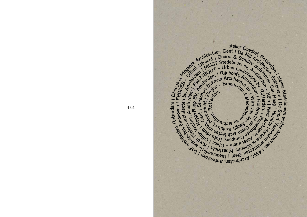

**144**